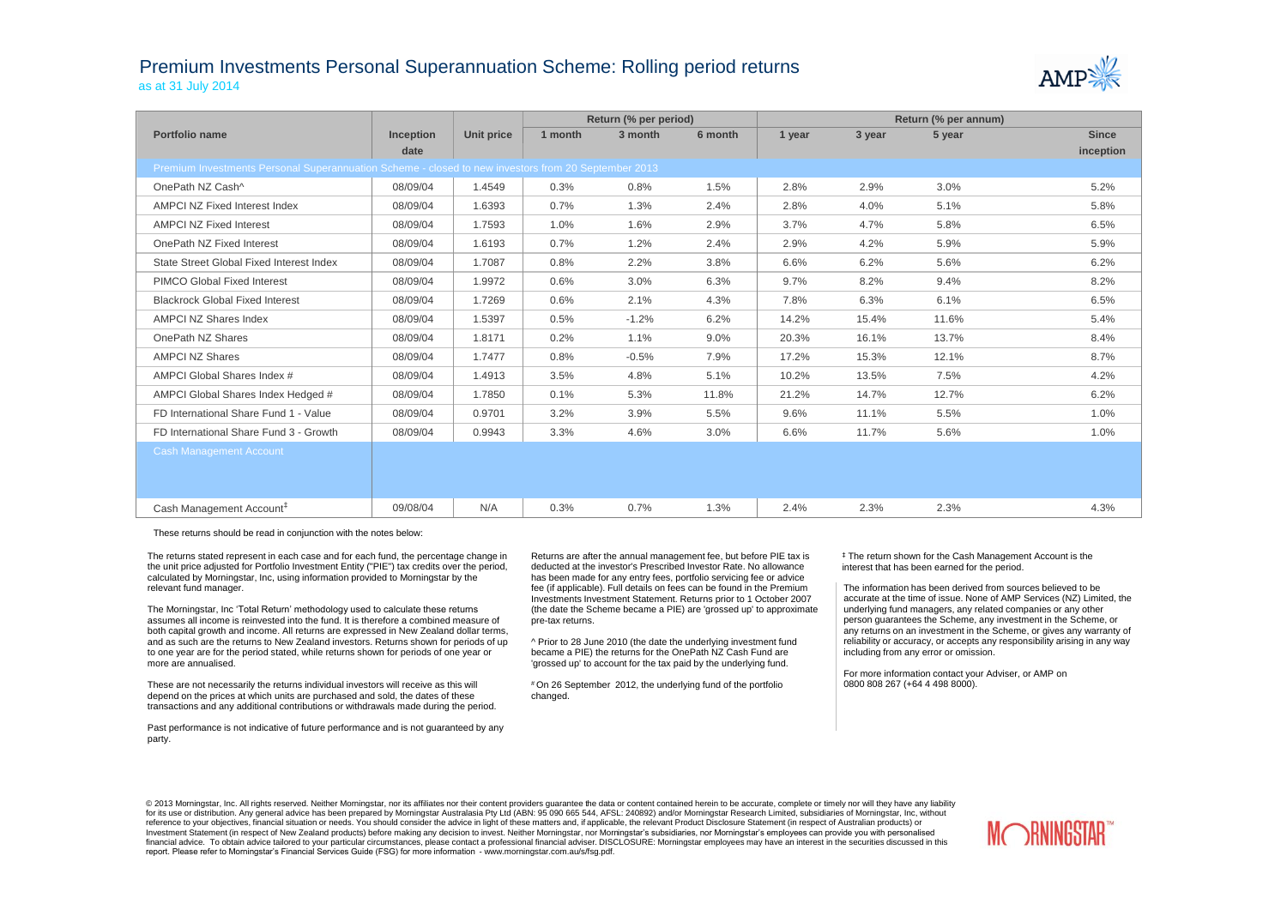## Premium Investments Personal Superannuation Scheme: Rolling period returns as at 31 July 2014



|                                                                                                     |                  |            |         | Return (% per period) |         | Return (% per annum) |        |        |              |  |
|-----------------------------------------------------------------------------------------------------|------------------|------------|---------|-----------------------|---------|----------------------|--------|--------|--------------|--|
| Portfolio name                                                                                      | <b>Inception</b> | Unit price | 1 month | 3 month               | 6 month | 1 year               | 3 year | 5 year | <b>Since</b> |  |
|                                                                                                     | date             |            |         |                       |         |                      |        |        | inception    |  |
| Premium Investments Personal Superannuation Scheme - closed to new investors from 20 September 2013 |                  |            |         |                       |         |                      |        |        |              |  |
| OnePath NZ Cash^                                                                                    | 08/09/04         | 1.4549     | 0.3%    | 0.8%                  | 1.5%    | 2.8%                 | 2.9%   | 3.0%   | 5.2%         |  |
| AMPCI NZ Fixed Interest Index                                                                       | 08/09/04         | 1.6393     | 0.7%    | 1.3%                  | 2.4%    | 2.8%                 | 4.0%   | 5.1%   | 5.8%         |  |
| <b>AMPCI NZ Fixed Interest</b>                                                                      | 08/09/04         | 1.7593     | 1.0%    | 1.6%                  | 2.9%    | 3.7%                 | 4.7%   | 5.8%   | 6.5%         |  |
| OnePath NZ Fixed Interest                                                                           | 08/09/04         | 1.6193     | 0.7%    | 1.2%                  | 2.4%    | 2.9%                 | 4.2%   | 5.9%   | 5.9%         |  |
| State Street Global Fixed Interest Index                                                            | 08/09/04         | 1.7087     | 0.8%    | 2.2%                  | 3.8%    | 6.6%                 | 6.2%   | 5.6%   | 6.2%         |  |
| <b>PIMCO Global Fixed Interest</b>                                                                  | 08/09/04         | 1.9972     | 0.6%    | 3.0%                  | 6.3%    | 9.7%                 | 8.2%   | 9.4%   | 8.2%         |  |
| <b>Blackrock Global Fixed Interest</b>                                                              | 08/09/04         | 1.7269     | 0.6%    | 2.1%                  | 4.3%    | 7.8%                 | 6.3%   | 6.1%   | 6.5%         |  |
| AMPCI NZ Shares Index                                                                               | 08/09/04         | 1.5397     | 0.5%    | $-1.2%$               | 6.2%    | 14.2%                | 15.4%  | 11.6%  | 5.4%         |  |
| OnePath NZ Shares                                                                                   | 08/09/04         | 1.8171     | 0.2%    | 1.1%                  | 9.0%    | 20.3%                | 16.1%  | 13.7%  | 8.4%         |  |
| <b>AMPCI NZ Shares</b>                                                                              | 08/09/04         | 1.7477     | 0.8%    | $-0.5%$               | 7.9%    | 17.2%                | 15.3%  | 12.1%  | 8.7%         |  |
| AMPCI Global Shares Index #                                                                         | 08/09/04         | 1.4913     | 3.5%    | 4.8%                  | 5.1%    | 10.2%                | 13.5%  | 7.5%   | 4.2%         |  |
| AMPCI Global Shares Index Hedged #                                                                  | 08/09/04         | 1.7850     | 0.1%    | 5.3%                  | 11.8%   | 21.2%                | 14.7%  | 12.7%  | 6.2%         |  |
| FD International Share Fund 1 - Value                                                               | 08/09/04         | 0.9701     | 3.2%    | 3.9%                  | 5.5%    | 9.6%                 | 11.1%  | 5.5%   | 1.0%         |  |
| FD International Share Fund 3 - Growth                                                              | 08/09/04         | 0.9943     | 3.3%    | 4.6%                  | 3.0%    | 6.6%                 | 11.7%  | 5.6%   | 1.0%         |  |
| <b>Cash Management Account</b>                                                                      |                  |            |         |                       |         |                      |        |        |              |  |
|                                                                                                     |                  |            |         |                       |         |                      |        |        |              |  |
|                                                                                                     |                  |            |         |                       |         |                      |        |        |              |  |
| Cash Management Account <sup>#</sup>                                                                | 09/08/04         | N/A        | 0.3%    | 0.7%                  | 1.3%    | 2.4%                 | 2.3%   | 2.3%   | 4.3%         |  |

These returns should be read in conjunction with the notes below:

The returns stated represent in each case and for each fund, the percentage change in the unit price adjusted for Portfolio Investment Entity ("PIE") tax credits over the period, calculated by Morningstar, Inc, using information provided to Morningstar by the relevant fund manager.

The Morningstar, Inc 'Total Return' methodology used to calculate these returns assumes all income is reinvested into the fund. It is therefore a combined measure of both capital growth and income. All returns are expressed in New Zealand dollar terms, and as such are the returns to New Zealand investors. Returns shown for periods of up to one year are for the period stated, while returns shown for periods of one year or more are annualised.

These are not necessarily the returns individual investors will receive as this will depend on the prices at which units are purchased and sold, the dates of these transactions and any additional contributions or withdrawals made during the period.

Past performance is not indicative of future performance and is not guaranteed by any party.

Returns are after the annual management fee, but before PIE tax is deducted at the investor's Prescribed Investor Rate. No allowance has been made for any entry fees, portfolio servicing fee or advice fee (if applicable). Full details on fees can be found in the Premium Investments Investment Statement. Returns prior to 1 October 2007 (the date the Scheme became a PIE) are 'grossed up' to approximate pre-tax returns.

^ Prior to 28 June 2010 (the date the underlying investment fund became a PIE) the returns for the OnePath NZ Cash Fund are 'grossed up' to account for the tax paid by the underlying fund.

# On 26 September 2012, the underlying fund of the portfolio changed.

‡ The return shown for the Cash Management Account is the interest that has been earned for the period.

The information has been derived from sources believed to be accurate at the time of issue. None of AMP Services (NZ) Limited, the underlying fund managers, any related companies or any other person guarantees the Scheme, any investment in the Scheme, or any returns on an investment in the Scheme, or gives any warranty of reliability or accuracy, or accepts any responsibility arising in any way including from any error or omission.

For more information contact your Adviser, or AMP on 0800 808 267 (+64 4 498 8000).

© 2013 Morningstar, Inc. All rights reserved. Neither Morningstar, nor its affiliates nor their content providers quarantee the data or content contained herein to be accurate, complete or timely nor will they have any lia for its use or distribution. Any general advice has been prepared by Morningstar Australasia Pty Ltd (ABN: 95 090 665 544, AFSL: 240892) and/or Morningstar Research Limited, subsidiaries of Morningstar, Inc, without reference to your objectives, financial situation or needs. You should consider the advice in light of these matters and, if applicable, the relevant Product Disclosure Statement (in respect of Australian products) or Investment Statement (in respect of New Zealand products) before making any decision to invest. Neither Morningstar, nor Morningstar's subsidiaries, nor Morningstar's employees can provide you with personalised financial advice. To obtain advice tailored to your particular circumstances, please contact a professional financial adviser. DISCLOSURE: Morningstar employees may have an interest in the securities discussed in this report. Please refer to Morningstar's Financial Services Guide (FSG) for more information - www.morningstar.com.au/s/fsg.pdf.